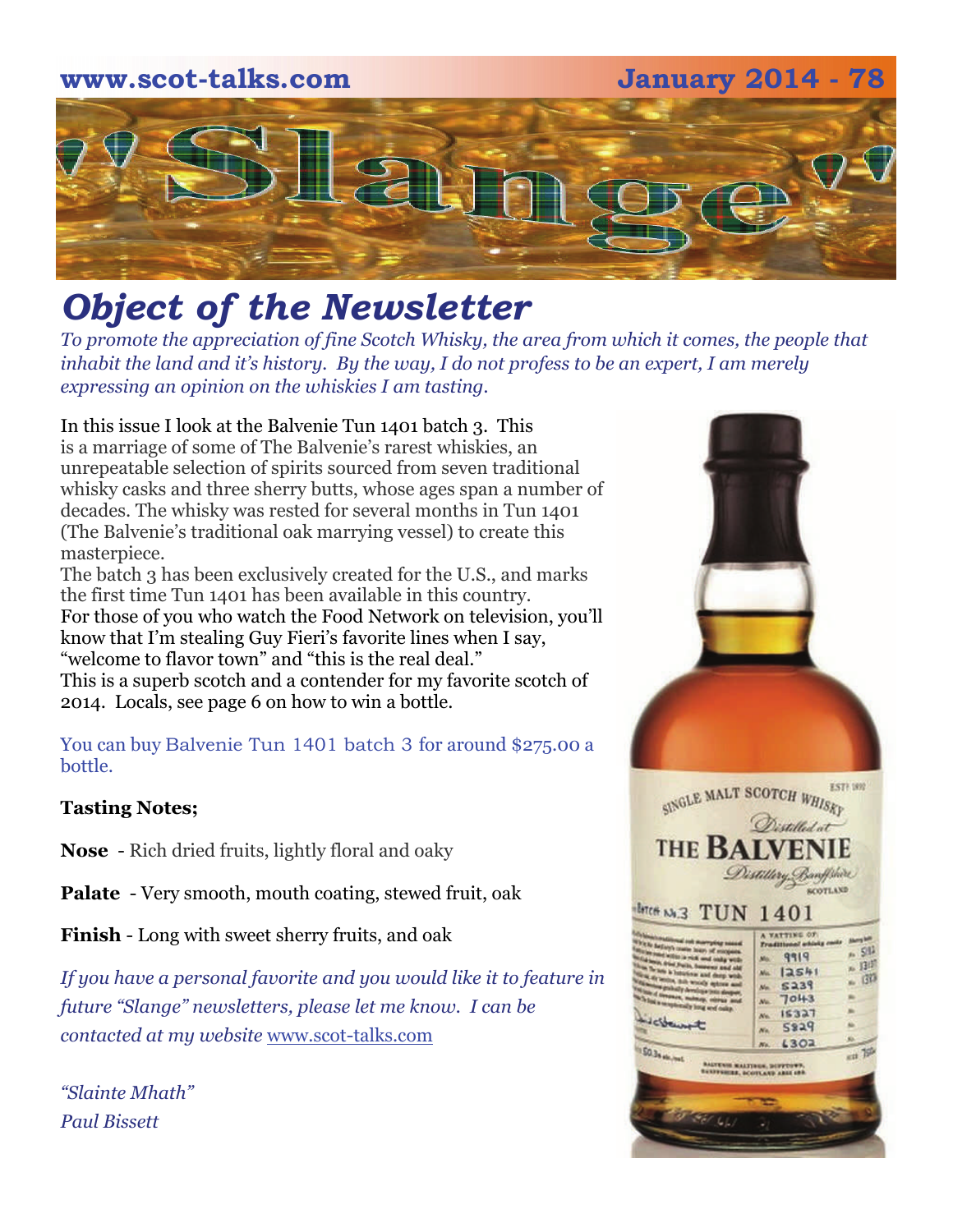# **www.scot-talks.com January 2014 - 78** [2]

### *Object of the Newsletter*

*To promote the appreciation of fine Scotch Whisky, the area from which it comes, the people that inhabit the land and it's history. By the way, I do not profess to be an expert, I am merely expressing an opinion on the whiskies I am tasting.* 

In this issue I look at the Balvenie Tun 1401 batch 3. This is a marriage of some of The Balvenie's rarest whiskies, an

unrepeatable selection of spirits sourced from seven traditional whisky casks and three sherry butts, whose ages span a number of decades. The whisky was rested for several months in Tun 1401 (The Balvenie's traditional oak marrying vessel) to create this masterpiece.

The batch 3 has been exclusively created for the U.S., and marks the first time Tun 1401 has been available in this country. For those of you who watch the Food Network on television, you'll know that I'm stealing Guy Fieri's favorite lines when I say, "welcome to flavor town" and "this is the real deal." This is a superb scotch and a contender for my favorite scotch of 2014. Locals, see page 6 on how to win a bottle.

You can buy Balvenie Tun 1401 batch 3 for around \$275.00 a bottle.

#### **Tasting Notes;**

**Nose** - Rich dried fruits, lightly floral and oaky

**Palate** - Very smooth, mouth coating, stewed fruit, oak

**Finish** - Long with sweet sherry fruits, and oak

*If you have a personal favorite and you would like it to feature in future "Slange" newsletters, please let me know. I can be contacted at my website* [www.scot-talks.com](http://www.scot-talks.com/default.html)

*"Slainte Mhath" Paul Bissett*

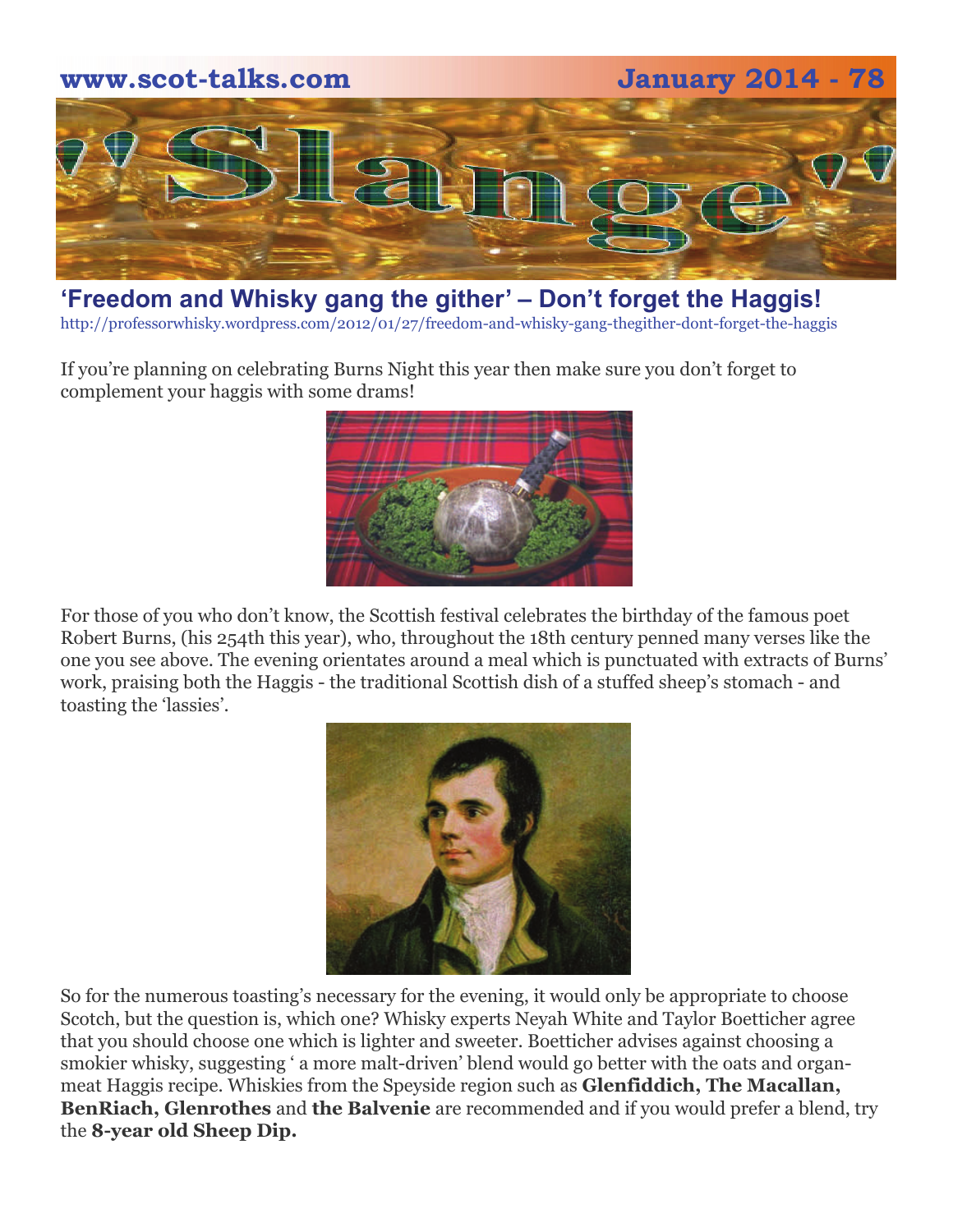

#### **['Freedom and Whisky gang the gither' – Don't forget the Haggis!](http://professorwhisky.wordpress.com/2012/01/27/freedom-and-whisky-gang-thegither-dont-forget-the-haggis/)**

http://professorwhisky.wordpress.com/2012/01/27/freedom-and-whisky-gang-thegither-dont-forget-the-haggis

If you're planning on celebrating Burns Night this year then make sure you don't forget to complement your haggis with some drams!



For those of you who don't know, the Scottish festival celebrates the birthday of the famous poet Robert Burns, (his 254th this year), who, throughout the 18th century penned many verses like the one you see above. The evening orientates around a meal which is punctuated with extracts of Burns' work, praising both the Haggis - the traditional Scottish dish of a stuffed sheep's stomach - and toasting the 'lassies'.



So for the numerous toasting's necessary for the evening, it would only be appropriate to choose Scotch, but the question is, which one? Whisky experts Neyah White and Taylor Boetticher agree that you should choose one which is lighter and sweeter. Boetticher advises against choosing a smokier whisky, suggesting ' a more malt-driven' blend would go better with the oats and organmeat Haggis recipe. Whiskies from the Speyside region such as **Glenfiddich, The Macallan, BenRiach, Glenrothes and the Balvenie** are recommended and if you would prefer a blend, try the **8-year old Sheep Dip.**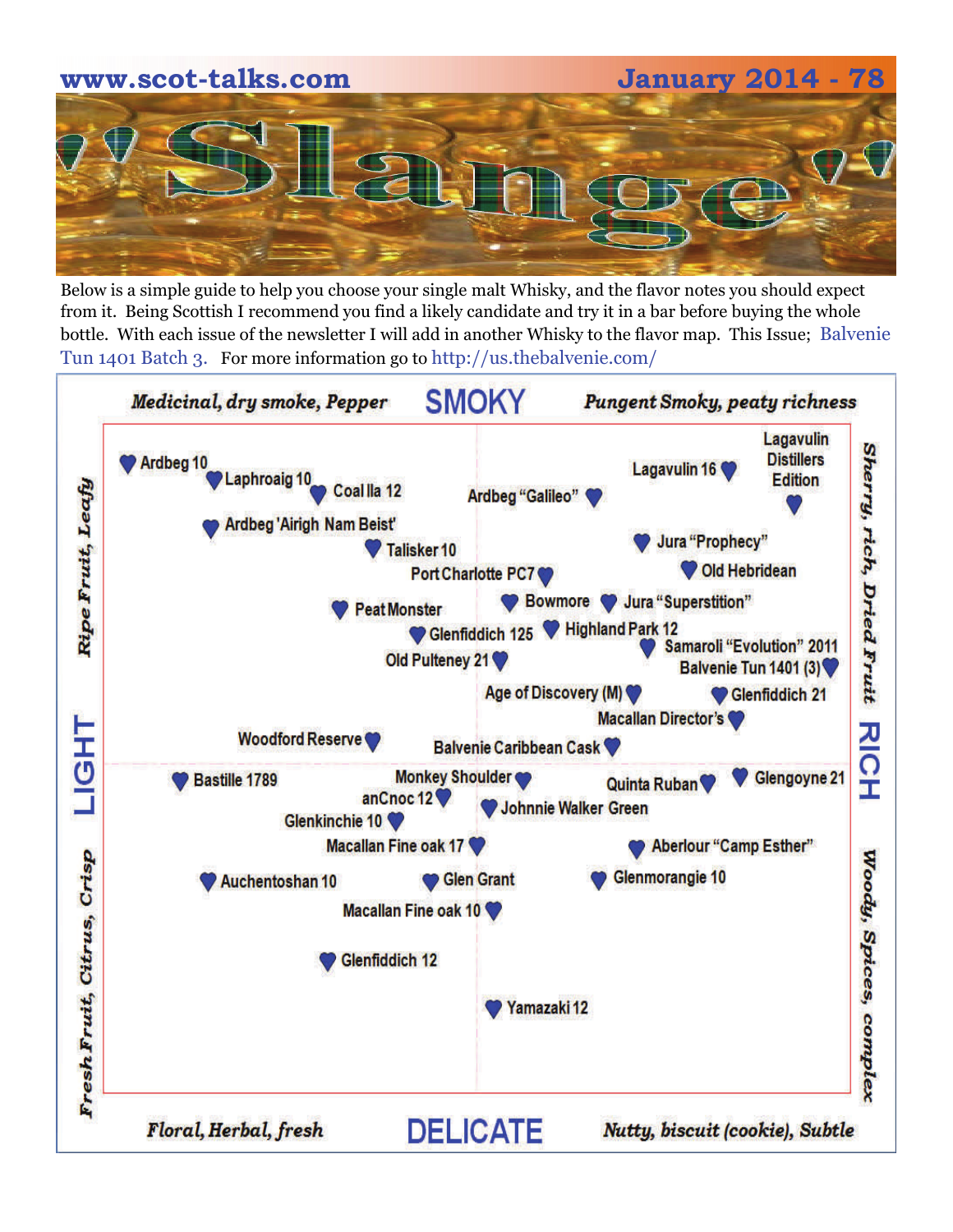# **www.scot-talks.com January 2014 - 78**

Below is a simple guide to help you choose your single malt Whisky, and the flavor notes you should expect from it. Being Scottish I recommend you find a likely candidate and try it in a bar before buying the whole bottle. With each issue of the newsletter I will add in another Whisky to the flavor map. This Issue; Balvenie Tun 1401 Batch 3. For more information go to http://us.thebalvenie.com/

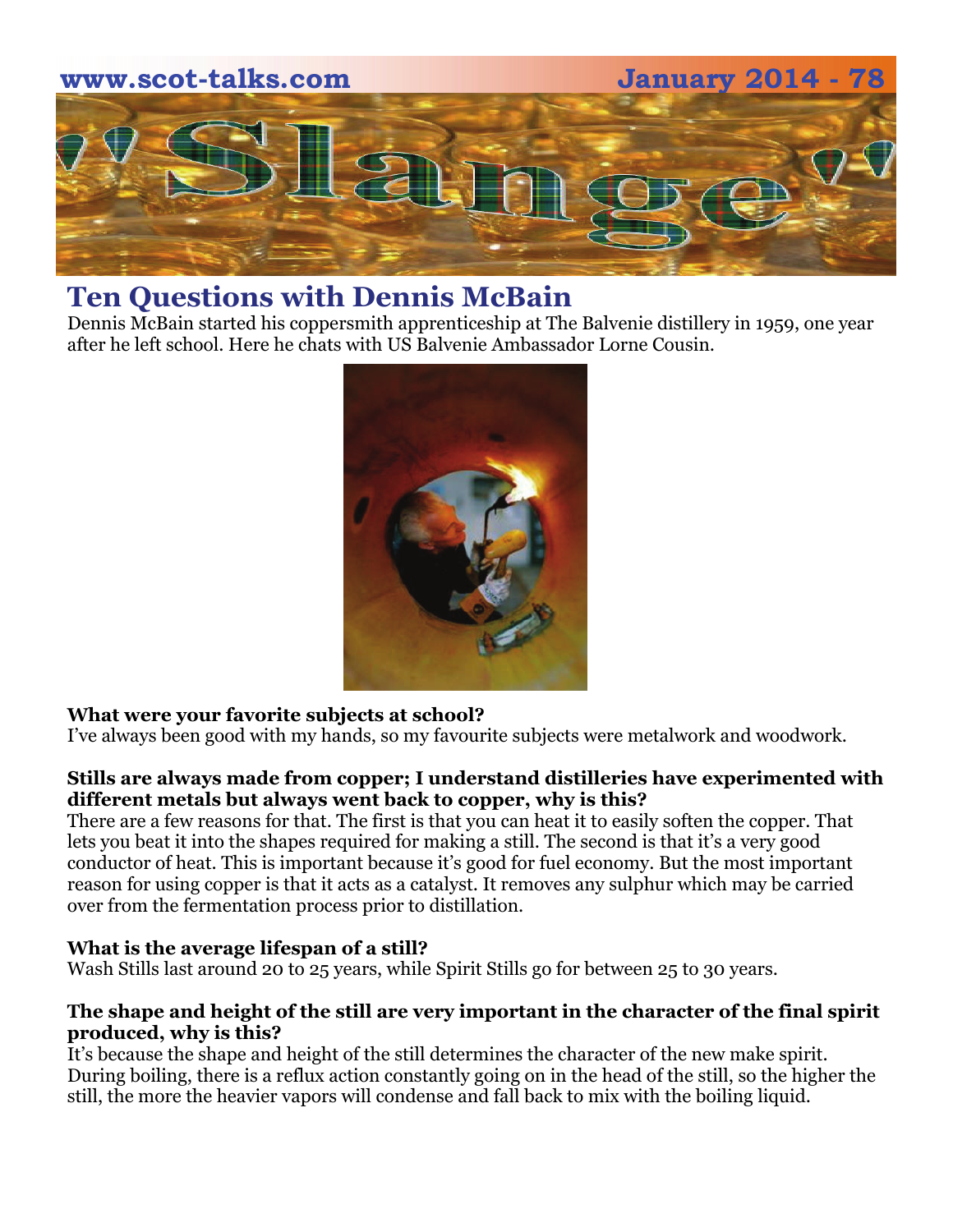

#### **Ten Questions with Dennis McBain**

Dennis McBain started his coppersmith apprenticeship at The Balvenie distillery in 1959, one year after he left school. Here he chats with US Balvenie Ambassador Lorne Cousin.



#### **What were your favorite subjects at school?**

I've always been good with my hands, so my favourite subjects were metalwork and woodwork.

#### **Stills are always made from copper; I understand distilleries have experimented with different metals but always went back to copper, why is this?**

There are a few reasons for that. The first is that you can heat it to easily soften the copper. That lets you beat it into the shapes required for making a still. The second is that it's a very good conductor of heat. This is important because it's good for fuel economy. But the most important reason for using copper is that it acts as a catalyst. It removes any sulphur which may be carried over from the fermentation process prior to distillation.

#### **What is the average lifespan of a still?**

Wash Stills last around 20 to 25 years, while Spirit Stills go for between 25 to 30 years.

#### **The shape and height of the still are very important in the character of the final spirit produced, why is this?**

It's because the shape and height of the still determines the character of the new make spirit. During boiling, there is a reflux action constantly going on in the head of the still, so the higher the still, the more the heavier vapors will condense and fall back to mix with the boiling liquid.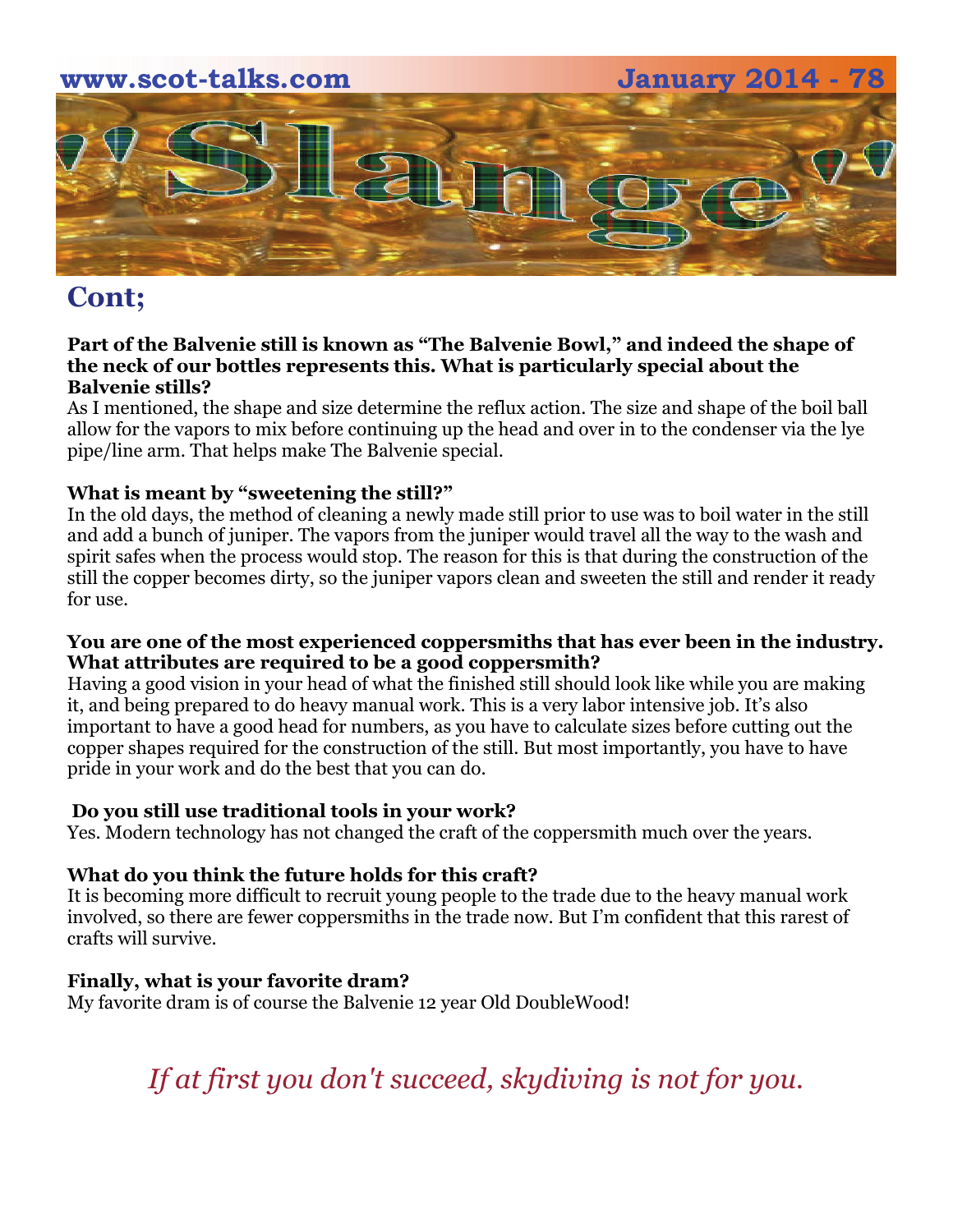

#### **Cont;**

#### **Part of the Balvenie still is known as "The Balvenie Bowl," and indeed the shape of the neck of our bottles represents this. What is particularly special about the Balvenie stills?**

As I mentioned, the shape and size determine the reflux action. The size and shape of the boil ball allow for the vapors to mix before continuing up the head and over in to the condenser via the lye pipe/line arm. That helps make The Balvenie special.

#### **What is meant by "sweetening the still?"**

In the old days, the method of cleaning a newly made still prior to use was to boil water in the still and add a bunch of juniper. The vapors from the juniper would travel all the way to the wash and spirit safes when the process would stop. The reason for this is that during the construction of the still the copper becomes dirty, so the juniper vapors clean and sweeten the still and render it ready for use.

#### **You are one of the most experienced coppersmiths that has ever been in the industry. What attributes are required to be a good coppersmith?**

Having a good vision in your head of what the finished still should look like while you are making it, and being prepared to do heavy manual work. This is a very labor intensive job. It's also important to have a good head for numbers, as you have to calculate sizes before cutting out the copper shapes required for the construction of the still. But most importantly, you have to have pride in your work and do the best that you can do.

#### **Do you still use traditional tools in your work?**

Yes. Modern technology has not changed the craft of the coppersmith much over the years.

#### **What do you think the future holds for this craft?**

It is becoming more difficult to recruit young people to the trade due to the heavy manual work involved, so there are fewer coppersmiths in the trade now. But I'm confident that this rarest of crafts will survive.

#### **Finally, what is your favorite dram?**

My favorite dram is of course the Balvenie 12 year Old DoubleWood!

*If at first you don't succeed, skydiving is not for you.*